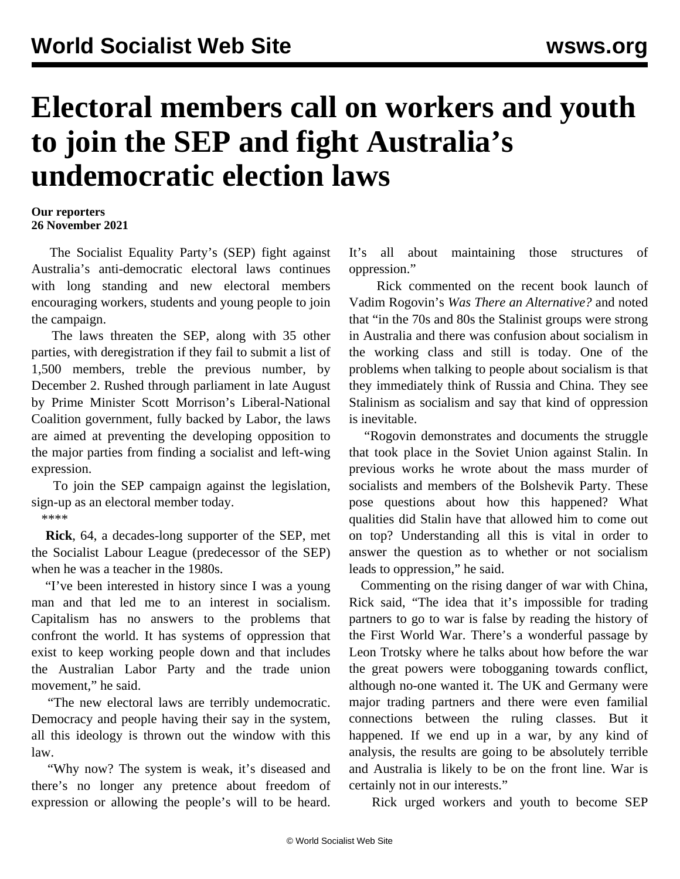## **Electoral members call on workers and youth to join the SEP and fight Australia's undemocratic election laws**

## **Our reporters 26 November 2021**

 The Socialist Equality Party's (SEP) fight against Australia's anti-democratic electoral laws continues with long standing and new electoral members encouraging workers, students and young people to join the campaign.

 The laws threaten the SEP, along with 35 other parties, with deregistration if they fail to submit a list of 1,500 members, treble the previous number, by December 2. Rushed through parliament in late August by Prime Minister Scott Morrison's Liberal-National Coalition government, fully backed by Labor, the laws are aimed at preventing the developing opposition to the major parties from finding a socialist and left-wing expression.

 To join the SEP campaign against the legislation, sign-up as an [electoral member](/en/special/pages/sep/australia/home.html) today.

\*\*\*\*

 **Rick**, 64, a decades-long supporter of the SEP, met the Socialist Labour League (predecessor of the SEP) when he was a teacher in the 1980s.

 "I've been interested in history since I was a young man and that led me to an interest in socialism. Capitalism has no answers to the problems that confront the world. It has systems of oppression that exist to keep working people down and that includes the Australian Labor Party and the trade union movement," he said.

 "The new electoral laws are terribly undemocratic. Democracy and people having their say in the system, all this ideology is thrown out the window with this law.

 "Why now? The system is weak, it's diseased and there's no longer any pretence about freedom of expression or allowing the people's will to be heard.

It's all about maintaining those structures of oppression."

 Rick commented on the recent [book launch](/en/special/pages/book-launch-vadim-rogovin-was-there-an-alternative.html) of Vadim Rogovin's *Was There an Alternative?* and noted that "in the 70s and 80s the Stalinist groups were strong in Australia and there was confusion about socialism in the working class and still is today. One of the problems when talking to people about socialism is that they immediately think of Russia and China. They see Stalinism as socialism and say that kind of oppression is inevitable.

 "Rogovin demonstrates and documents the struggle that took place in the Soviet Union against Stalin. In previous works he wrote about the mass murder of socialists and members of the Bolshevik Party. These pose questions about how this happened? What qualities did Stalin have that allowed him to come out on top? Understanding all this is vital in order to answer the question as to whether or not socialism leads to oppression," he said.

 Commenting on the rising danger of war with China, Rick said, "The idea that it's impossible for trading partners to go to war is false by reading the history of the First World War. There's a wonderful passage by Leon Trotsky where he talks about how before the war the great powers were tobogganing towards conflict, although no-one wanted it. The UK and Germany were major trading partners and there were even familial connections between the ruling classes. But it happened. If we end up in a war, by any kind of analysis, the results are going to be absolutely terrible and Australia is likely to be on the front line. War is certainly not in our interests."

Rick urged workers and youth to become SEP